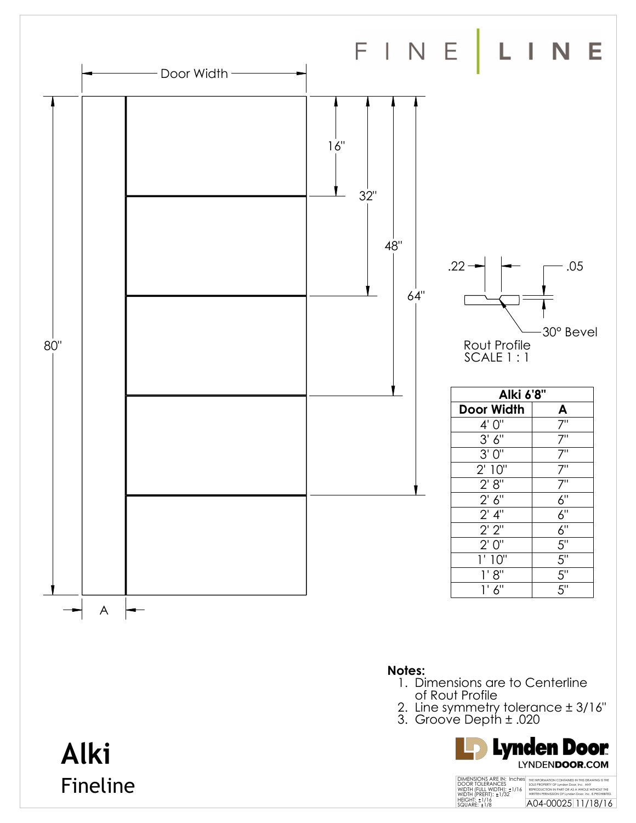

**Alki**

Fineline

## **Notes:**

- 1. Dimensions are to Centerline of Rout Profile
- 2. Line symmetry tolerance ± 3/16"
- 3. Groove Depth ± .020

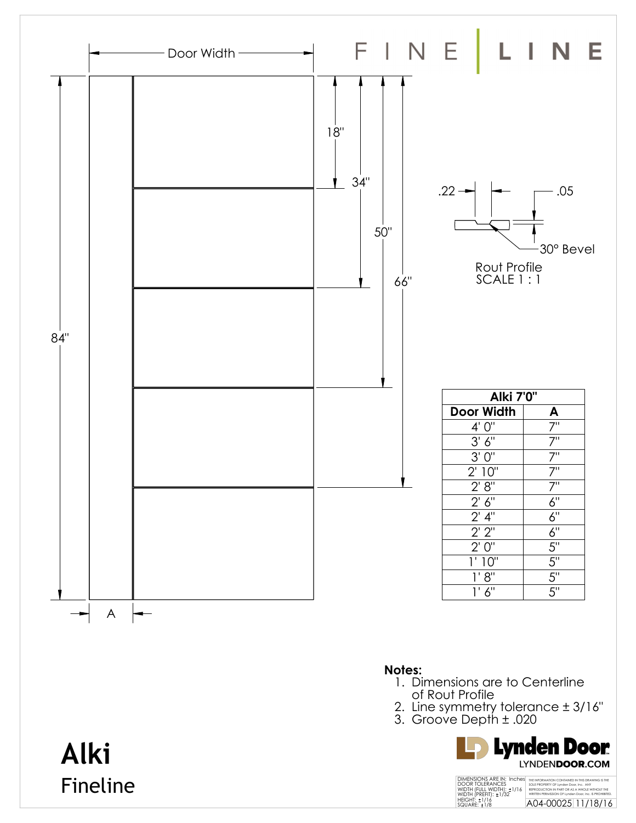

Fineline

THE INFORMATION CONTAINED IN THIS DRAWING IS THE SOLE PROPERTY OF Lynden Door, Inc. ANY<br>REPRODUCTION IN PART OR AS A WHOLE WITHOUT THE<br>WRITTEN PERMISSION OF Lynden Door, Inc. IS PROHIBITED.<br>A04-00025 11/18/16 DIMENSIONS ARE IN: Inches<br>DOOR TOLERANCES<br>WIDTH (FULL WIDTH): ±1/16<br>WIDTH (PREFIT): ±1/32<br>HEIGHT: ±1/16<br>SQUARE: ±1/8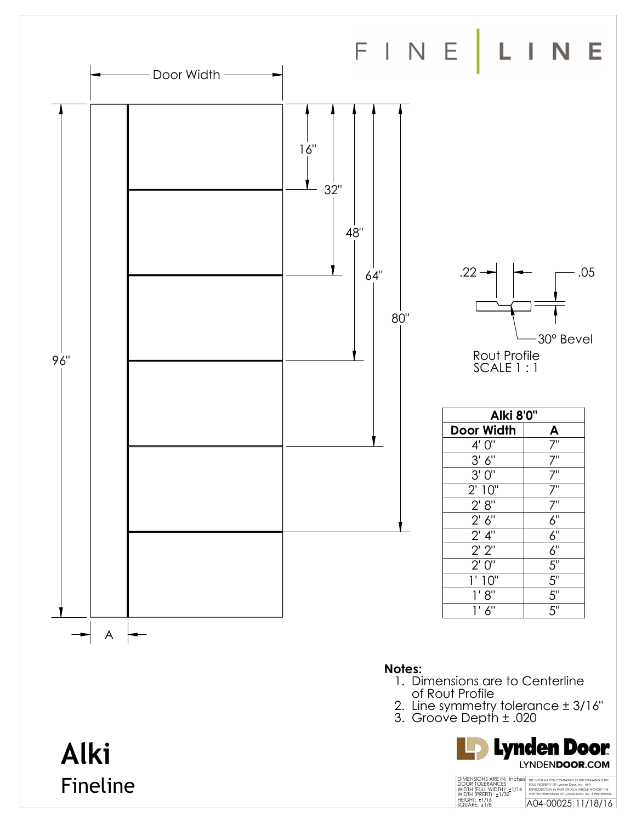

**Alki**

Fineline

- **Notes:**
- 1. Dimensions are to Centerline of Rout Profile
- 2. Line symmetry tolerance ± 3/16"
- 3. Groove Depth ± .020

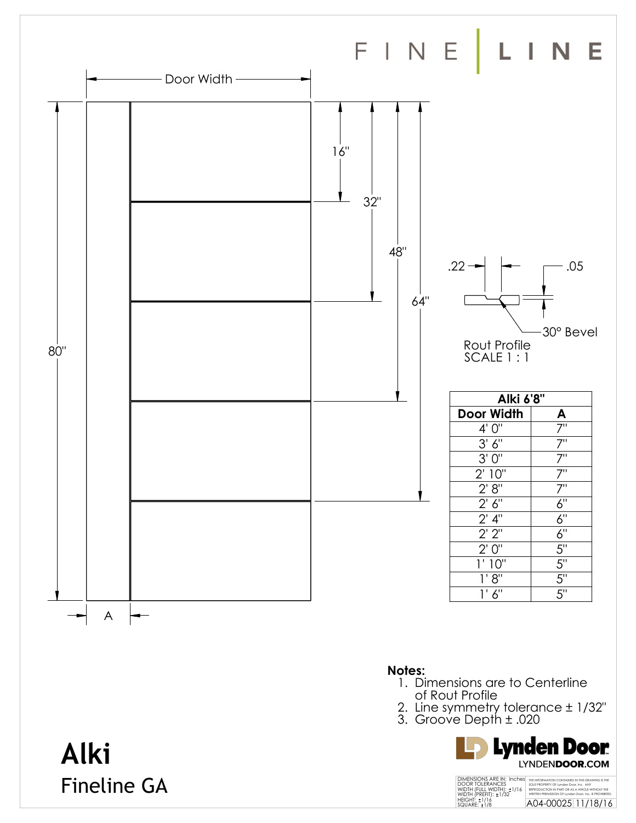

- 2. Line symmetry tolerance ± 1/32"
- 3. Groove Depth ± .020



## **Alki** Fineline GA

THE INFORMATION CONTAINED IN THIS DRAWING IS THE SOLE PROPERTY OF Lynden Door, Inc. ANY<br>REPRODUCTION IN PART OR AS A WHOLE WITHOUT THE<br>WRITTEN PERMISSION OF Lynden Door, Inc. IS PROHIBITED.<br>A04-00025 11/18/16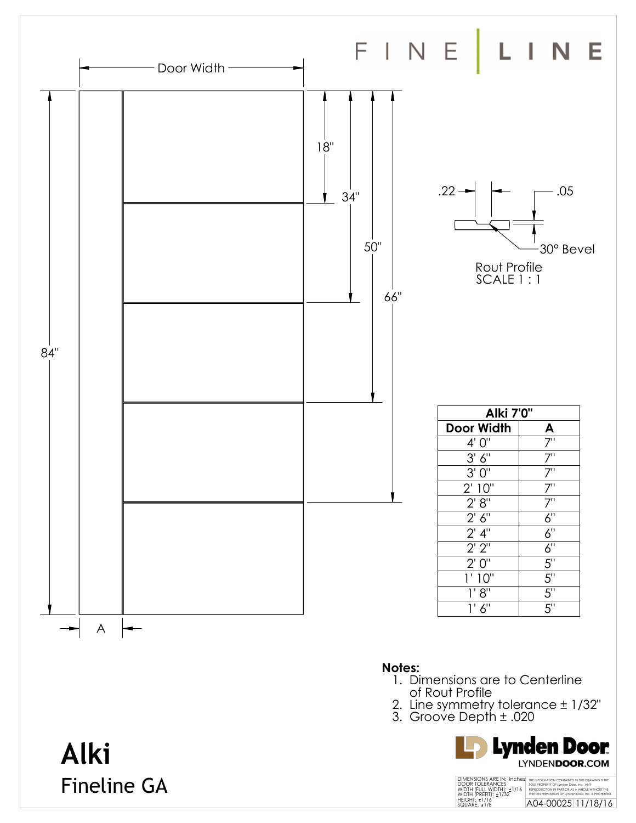

Fineline GA

THE INFORMATION CONTAINED IN THIS DRAWING IS THE SOLE PROPERTY OF Lynden Door, Inc. ANY<br>REPRODUCTION IN PART OR AS A WHOLE WITHOUT THE<br>WRITTEN PERMISSION OF Lynden Door, Inc. IS PROHIBITED.<br>A04-00025 11/18/16 DIMENSIONS ARE IN: Inches<br>DOOR TOLERANCES<br>WIDTH (FULL WIDTH): ±1/16<br>WIDTH (PREFIT): ±1/32<br>HEIGHT: ±1/16<br>SQUARE: ±1/8